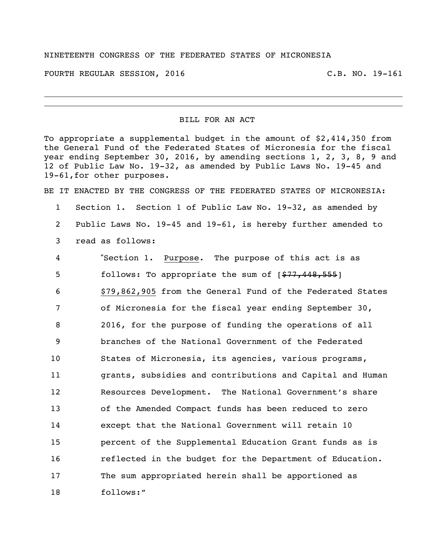## NINETEENTH CONGRESS OF THE FEDERATED STATES OF MICRONESIA

FOURTH REGULAR SESSION, 2016 C.B. NO. 19-161

## BILL FOR AN ACT

To appropriate a supplemental budget in the amount of \$2,414,350 from the General Fund of the Federated States of Micronesia for the fiscal year ending September 30, 2016, by amending sections 1, 2, 3, 8, 9 and of Public Law No. 19-32, as amended by Public Laws No. 19-45 and 19-61,for other purposes.

BE IT ENACTED BY THE CONGRESS OF THE FEDERATED STATES OF MICRONESIA:

 Section 1. Section 1 of Public Law No. 19-32, as amended by Public Laws No. 19-45 and 19-61, is hereby further amended to read as follows:

 "Section 1. Purpose. The purpose of this act is as 5 follows: To appropriate the sum of  $[$77,448,555]$  \$79,862,905 from the General Fund of the Federated States of Micronesia for the fiscal year ending September 30, 2016, for the purpose of funding the operations of all branches of the National Government of the Federated States of Micronesia, its agencies, various programs, grants, subsidies and contributions and Capital and Human Resources Development. The National Government's share of the Amended Compact funds has been reduced to zero except that the National Government will retain 10 percent of the Supplemental Education Grant funds as is reflected in the budget for the Department of Education. The sum appropriated herein shall be apportioned as follows:"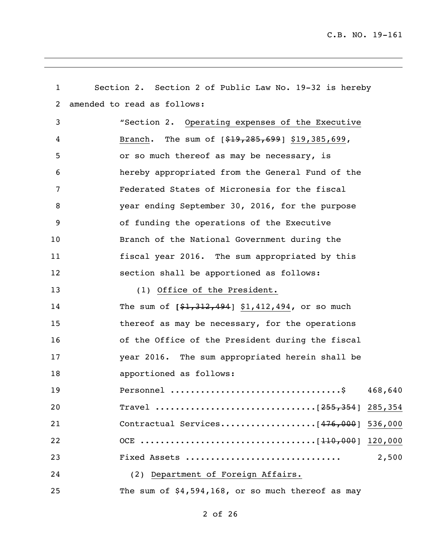| $\mathbf{1}$   | Section 2. Section 2 of Public Law No. 19-32 is hereby |
|----------------|--------------------------------------------------------|
| $\overline{2}$ | amended to read as follows:                            |
| 3              | "Section 2. Operating expenses of the Executive        |
| 4              | Branch. The sum of $[$19,285,699]$ \$19,385,699,       |
| 5              | or so much thereof as may be necessary, is             |
| 6              | hereby appropriated from the General Fund of the       |
| 7              | Federated States of Micronesia for the fiscal          |
| 8              | year ending September 30, 2016, for the purpose        |
| 9              | of funding the operations of the Executive             |
| 10             | Branch of the National Government during the           |
| 11             | fiscal year 2016. The sum appropriated by this         |
| 12             | section shall be apportioned as follows:               |
| 13             | (1) Office of the President.                           |
| 14             | The sum of $[$1,312,494]$ \$1,412,494, or so much      |
| 15             | thereof as may be necessary, for the operations        |
| 16             | of the Office of the President during the fiscal       |
| 17             | year 2016. The sum appropriated herein shall be        |
| 18             | apportioned as follows:                                |
| 19             | 468,640                                                |
| 20             |                                                        |
| 21             |                                                        |
| 22             |                                                        |
| 23             | Fixed Assets<br>2,500                                  |
| 24             | (2) Department of Foreign Affairs.                     |
| 25             | The sum of $$4,594,168$ , or so much thereof as may    |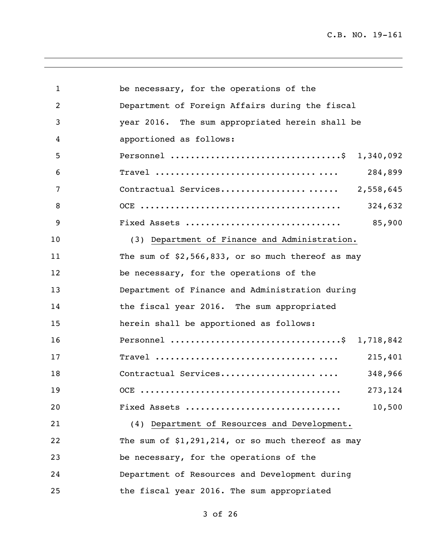| $\mathbf{1}$   | be necessary, for the operations of the             |
|----------------|-----------------------------------------------------|
| $\overline{2}$ | Department of Foreign Affairs during the fiscal     |
| 3              | year 2016. The sum appropriated herein shall be     |
| 4              | apportioned as follows:                             |
| 5              | Personnel \$ 1,340,092                              |
| 6              | 284,899                                             |
| 7              | Contractual Services 2,558,645                      |
| 8              | 324,632                                             |
| 9              | 85,900<br>Fixed Assets                              |
| 10             | (3) Department of Finance and Administration.       |
| 11             | The sum of \$2,566,833, or so much thereof as may   |
| 12             | be necessary, for the operations of the             |
| 13             | Department of Finance and Administration during     |
| 14             | the fiscal year 2016. The sum appropriated          |
| 15             | herein shall be apportioned as follows:             |
| 16             | Personnel \$ 1,718,842                              |
| 17             | 215,401                                             |
| 18             | Contractual Services<br>348,966                     |
| 19             | 273,124                                             |
| 20             | Fixed Assets<br>10,500                              |
| 21             | (4) Department of Resources and Development.        |
| 22             | The sum of $$1,291,214$ , or so much thereof as may |
| 23             | be necessary, for the operations of the             |
| 24             | Department of Resources and Development during      |
| 25             | the fiscal year 2016. The sum appropriated          |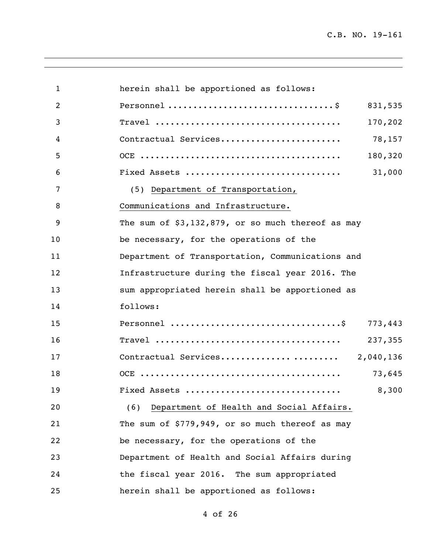| $\mathbf{1}$ | herein shall be apportioned as follows:             |         |
|--------------|-----------------------------------------------------|---------|
| 2            |                                                     | 831,535 |
| 3            |                                                     | 170,202 |
| 4            | Contractual Services                                | 78,157  |
| 5            |                                                     | 180,320 |
| 6            | Fixed Assets                                        | 31,000  |
| 7            | (5) Department of Transportation,                   |         |
| 8            | Communications and Infrastructure.                  |         |
| 9            | The sum of $$3,132,879$ , or so much thereof as may |         |
| 10           | be necessary, for the operations of the             |         |
| 11           | Department of Transportation, Communications and    |         |
| 12           | Infrastructure during the fiscal year 2016. The     |         |
| 13           | sum appropriated herein shall be apportioned as     |         |
| 14           | follows:                                            |         |
| 15           |                                                     | 773,443 |
| 16           |                                                     | 237,355 |
| 17           |                                                     |         |
| 18           |                                                     | 73,645  |
| 19           |                                                     |         |
| 20           | (6) Department of Health and Social Affairs.        |         |
| 21           | The sum of \$779,949, or so much thereof as may     |         |
| 22           | be necessary, for the operations of the             |         |
| 23           | Department of Health and Social Affairs during      |         |
| 24           | the fiscal year 2016. The sum appropriated          |         |
| 25           | herein shall be apportioned as follows:             |         |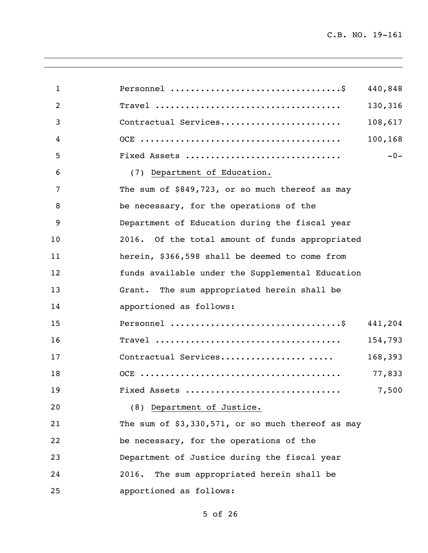| 1  |                                                     | 440,848 |
|----|-----------------------------------------------------|---------|
| 2  |                                                     | 130,316 |
| 3  | Contractual Services                                | 108,617 |
| 4  |                                                     | 100,168 |
| 5  | Fixed Assets                                        | $-0-$   |
| 6  | (7) Department of Education.                        |         |
| 7  | The sum of \$849,723, or so much thereof as may     |         |
| 8  | be necessary, for the operations of the             |         |
| 9  | Department of Education during the fiscal year      |         |
| 10 | 2016. Of the total amount of funds appropriated     |         |
| 11 | herein, \$366,598 shall be deemed to come from      |         |
| 12 | funds available under the Supplemental Education    |         |
| 13 | Grant. The sum appropriated herein shall be         |         |
| 14 | apportioned as follows:                             |         |
| 15 |                                                     | 441,204 |
| 16 |                                                     | 154,793 |
| 17 | Contractual Services                                | 168,393 |
| 18 |                                                     | 77,833  |
| 19 | Fixed Assets                                        | 7,500   |
| 20 | (8) Department of Justice.                          |         |
| 21 | The sum of $$3,330,571$ , or so much thereof as may |         |
| 22 | be necessary, for the operations of the             |         |
| 23 | Department of Justice during the fiscal year        |         |
| 24 | The sum appropriated herein shall be<br>2016.       |         |
| 25 | apportioned as follows:                             |         |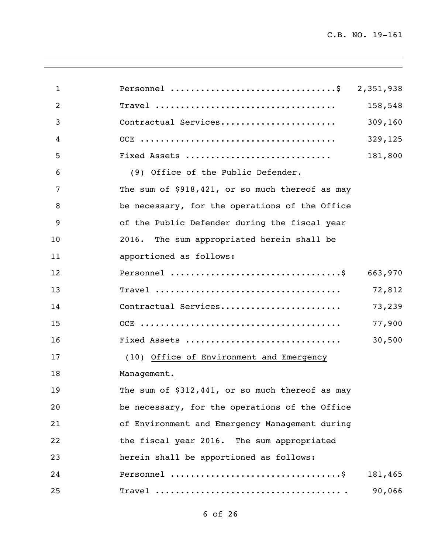| $\mathbf{1}$   |                                                 | 2,351,938 |
|----------------|-------------------------------------------------|-----------|
| $\overline{2}$ |                                                 | 158,548   |
| 3              | Contractual Services                            | 309,160   |
| 4              |                                                 | 329,125   |
| 5              | Fixed Assets                                    | 181,800   |
| 6              | (9) Office of the Public Defender.              |           |
| 7              | The sum of \$918,421, or so much thereof as may |           |
| 8              | be necessary, for the operations of the Office  |           |
| 9              | of the Public Defender during the fiscal year   |           |
| 10             | 2016. The sum appropriated herein shall be      |           |
| 11             | apportioned as follows:                         |           |
| 12             |                                                 | 663,970   |
| 13             |                                                 | 72,812    |
| 14             | Contractual Services                            | 73,239    |
| 15             |                                                 | 77,900    |
| 16             | Fixed Assets                                    | 30,500    |
| 17             | (10) Office of Environment and Emergency        |           |
| 18             | Management.                                     |           |
| 19             | The sum of \$312,441, or so much thereof as may |           |
| 20             | be necessary, for the operations of the Office  |           |
| 21             | of Environment and Emergency Management during  |           |
| 22             | the fiscal year 2016. The sum appropriated      |           |
| 23             | herein shall be apportioned as follows:         |           |
| 24             |                                                 | 181,465   |
| 25             |                                                 | 90,066    |
|                |                                                 |           |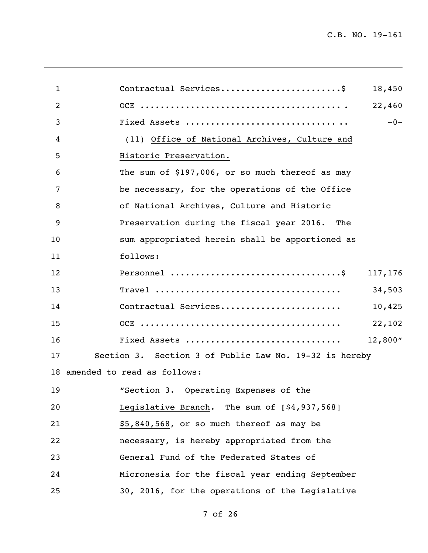| $\mathbf{1}$ | Contractual Services\$                                 | 18,450   |
|--------------|--------------------------------------------------------|----------|
| 2            |                                                        | 22,460   |
| 3            | Fixed Assets                                           | $-0-$    |
| 4            | (11) Office of National Archives, Culture and          |          |
| 5            | Historic Preservation.                                 |          |
| 6            | The sum of \$197,006, or so much thereof as may        |          |
| 7            | be necessary, for the operations of the Office         |          |
| 8            | of National Archives, Culture and Historic             |          |
| 9            | Preservation during the fiscal year 2016. The          |          |
| 10           | sum appropriated herein shall be apportioned as        |          |
| 11           | follows:                                               |          |
| 12           |                                                        | 117,176  |
| 13           |                                                        | 34,503   |
| 14           | Contractual Services                                   | 10,425   |
| 15           |                                                        | 22,102   |
| 16           | Fixed Assets                                           | 12,800'' |
| 17           | Section 3. Section 3 of Public Law No. 19-32 is hereby |          |
|              | 18 amended to read as follows:                         |          |
| 19           | "Section 3. Operating Expenses of the                  |          |
| 20           | Legislative Branch. The sum of $[4, 937, 568]$         |          |
| 21           | \$5,840,568, or so much thereof as may be              |          |
| 22           | necessary, is hereby appropriated from the             |          |
| 23           | General Fund of the Federated States of                |          |
| 24           | Micronesia for the fiscal year ending September        |          |
| 25           | 30, 2016, for the operations of the Legislative        |          |
|              |                                                        |          |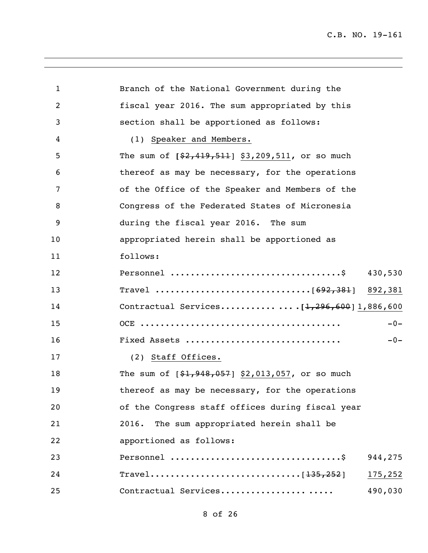| $\mathbf{1}$   | Branch of the National Government during the      |         |
|----------------|---------------------------------------------------|---------|
| $\overline{c}$ | fiscal year 2016. The sum appropriated by this    |         |
| 3              | section shall be apportioned as follows:          |         |
| 4              | (1) Speaker and Members.                          |         |
| 5              | The sum of $[$2,419,511]$ \$3,209,511, or so much |         |
| 6              | thereof as may be necessary, for the operations   |         |
| 7              | of the Office of the Speaker and Members of the   |         |
| 8              | Congress of the Federated States of Micronesia    |         |
| 9              | during the fiscal year 2016. The sum              |         |
| 10             | appropriated herein shall be apportioned as       |         |
| 11             | follows:                                          |         |
| 12             |                                                   | 430,530 |
| 13             |                                                   |         |
| 14             | Contractual Services[1,296,600] 1,886,600         |         |
| 15             |                                                   | $-0-$   |
| 16             | Fixed Assets                                      | $-0-$   |
| 17             | (2) Staff Offices.                                |         |
| 18             | The sum of $[$1,948,057]$ \$2,013,057, or so much |         |
| 19             | thereof as may be necessary, for the operations   |         |
| 20             | of the Congress staff offices during fiscal year  |         |
| 21             | The sum appropriated herein shall be<br>2016.     |         |
| 22             | apportioned as follows:                           |         |
| 23             |                                                   | 944,275 |
| 24             |                                                   | 175,252 |
| 25             | Contractual Services                              | 490,030 |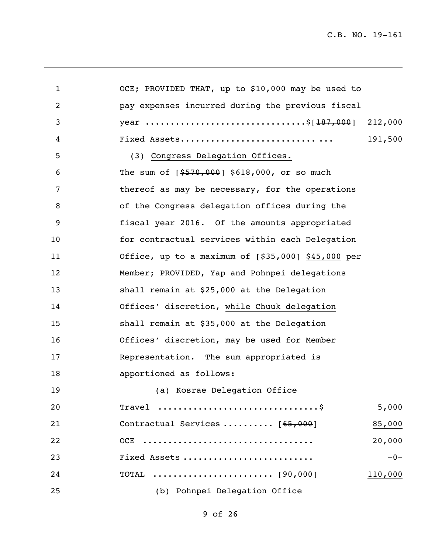| $\mathbf{1}$   | OCE; PROVIDED THAT, up to \$10,000 may be used to   |         |
|----------------|-----------------------------------------------------|---------|
| $\overline{2}$ | pay expenses incurred during the previous fiscal    |         |
| 3              | year \$[ <del>187,000</del> ]                       | 212,000 |
| 4              | Fixed Assets                                        | 191,500 |
| 5              | (3) Congress Delegation Offices.                    |         |
| 6              | The sum of $[$570,000]$ \$618,000, or so much       |         |
| 7              | thereof as may be necessary, for the operations     |         |
| 8              | of the Congress delegation offices during the       |         |
| 9              | fiscal year 2016. Of the amounts appropriated       |         |
| 10             | for contractual services within each Delegation     |         |
| 11             | Office, up to a maximum of $[$35,000]$ \$45,000 per |         |
| 12             | Member; PROVIDED, Yap and Pohnpei delegations       |         |
| 13             | shall remain at \$25,000 at the Delegation          |         |
| 14             | Offices' discretion, while Chuuk delegation         |         |
| 15             | shall remain at \$35,000 at the Delegation          |         |
| 16             | Offices' discretion, may be used for Member         |         |
| 17             | Representation. The sum appropriated is             |         |
| 18             | apportioned as follows:                             |         |
| 19             | (a) Kosrae Delegation Office                        |         |
| 20             |                                                     | 5,000   |
| 21             | Contractual Services  [65,000]                      | 85,000  |
| 22             | OCE                                                 | 20,000  |
| 23             | Fixed Assets                                        | $-0-$   |
| 24             | [ <del>90,000</del> ]<br>TOTAL                      | 110,000 |
| 25             | (b) Pohnpei Delegation Office                       |         |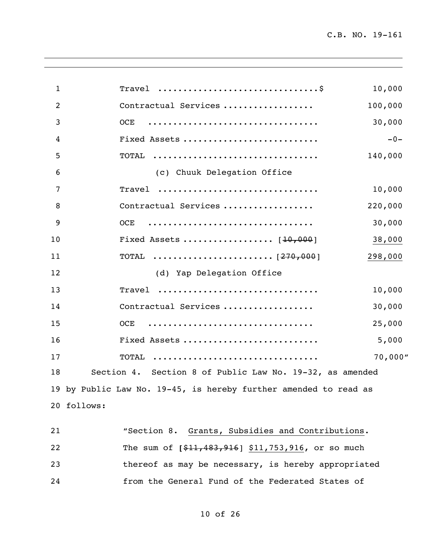| $\mathbf{1}$ | Travel $\dots\dots\dots\dots\dots\dots\dots\dots\dots$ .         | 10,000  |
|--------------|------------------------------------------------------------------|---------|
| 2            | Contractual Services                                             | 100,000 |
| 3            | <b>OCE</b>                                                       | 30,000  |
| 4            | Fixed Assets                                                     | $-0-$   |
| 5            | TOTAL                                                            | 140,000 |
| 6            | (c) Chuuk Delegation Office                                      |         |
| 7            | Travel                                                           | 10,000  |
| 8            | Contractual Services                                             | 220,000 |
| 9            | OCE.                                                             | 30,000  |
| 10           | Fixed Assets $[10,000]$                                          | 38,000  |
| 11           |                                                                  | 298,000 |
| 12           | (d) Yap Delegation Office                                        |         |
| 13           | Travel                                                           | 10,000  |
| 14           | Contractual Services                                             | 30,000  |
| 15           | OCE                                                              | 25,000  |
| 16           | Fixed Assets                                                     | 5,000   |
| 17           | TOTAL                                                            | 70,000" |
| 18           | Section 4. Section 8 of Public Law No. 19-32, as amended         |         |
|              | 19 by Public Law No. 19-45, is hereby further amended to read as |         |
|              | 20 follows:                                                      |         |
| 21           | "Section 8. Grants, Subsidies and Contributions.                 |         |
| 22           | The sum of $[$11,483,916]$ \$11,753,916, or so much              |         |

 thereof as may be necessary, is hereby appropriated from the General Fund of the Federated States of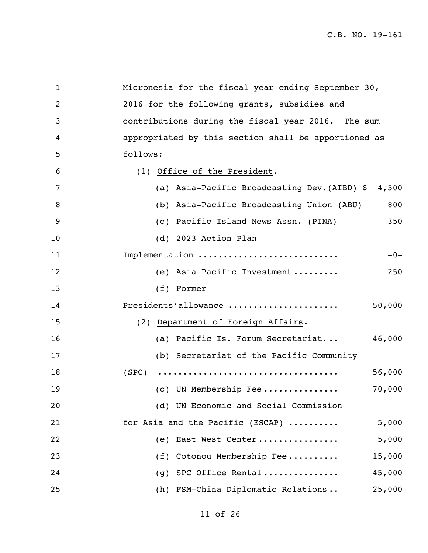| $\mathbf 1$    | Micronesia for the fiscal year ending September 30,   |
|----------------|-------------------------------------------------------|
| $\overline{2}$ | 2016 for the following grants, subsidies and          |
| 3              | contributions during the fiscal year 2016. The sum    |
| 4              | appropriated by this section shall be apportioned as  |
| 5              | follows:                                              |
| 6              | (1) Office of the President.                          |
| 7              | (a) Asia-Pacific Broadcasting Dev. (AIBD) \$<br>4,500 |
| 8              | (b) Asia-Pacific Broadcasting Union (ABU)<br>800      |
| 9              | Pacific Island News Assn. (PINA)<br>350<br>(C)        |
| 10             | (d) 2023 Action Plan                                  |
| 11             | Implementation<br>$-0-$                               |
| 12             | (e) Asia Pacific Investment<br>250                    |
| 13             | (f)<br>Former                                         |
| 14             | Presidents'allowance<br>50,000                        |
| 15             | (2) Department of Foreign Affairs.                    |
| 16             | 46,000<br>Pacific Is. Forum Secretariat<br>(a)        |
| 17             | (b) Secretariat of the Pacific Community              |
| 18             | 56,000<br>(SPC)                                       |
| 19             | (c) UN Membership Fee<br>70,000                       |
| 20             | (d) UN Economic and Social Commission                 |
| 21             | for Asia and the Pacific (ESCAP)<br>5,000             |
| 22             | 5,000<br>East West Center<br>(e)                      |
| 23             | Cotonou Membership Fee<br>15,000<br>(f)               |
| 24             | SPC Office Rental<br>45,000<br>(q)                    |
| 25             | (h) FSM-China Diplomatic Relations<br>25,000          |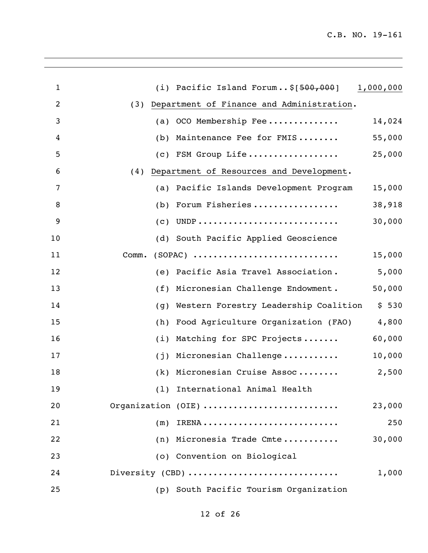| $\mathbf{1}$ |       | (i) Pacific Island Forum\$[ <del>500,000</del> ] | 1,000,000 |
|--------------|-------|--------------------------------------------------|-----------|
| 2            |       | (3) Department of Finance and Administration.    |           |
| 3            |       | (a) OCO Membership Fee                           | 14,024    |
| 4            | (b)   | Maintenance Fee for FMIS                         | 55,000    |
| 5            |       | (c) FSM Group Life                               | 25,000    |
| 6            |       | (4) Department of Resources and Development.     |           |
| 7            |       | (a) Pacific Islands Development Program          | 15,000    |
| 8            | (b)   | Forum Fisheries                                  | 38,918    |
| 9            | (C)   |                                                  | 30,000    |
| 10           |       | (d) South Pacific Applied Geoscience             |           |
| 11           | Comm. | $(SOPAC)$                                        | 15,000    |
| 12           | (e)   | Pacific Asia Travel Association.                 | 5,000     |
| 13           | (f)   | Micronesian Challenge Endowment.                 | 50,000    |
| 14           | (g)   | Western Forestry Leadership Coalition            | \$530     |
| 15           | (h)   | Food Agriculture Organization (FAO)              | 4,800     |
| 16           | (i)   | Matching for SPC Projects                        | 60,000    |
| 17           | (j)   | Micronesian Challenge                            | 10,000    |
| 18           | (k)   | Micronesian Cruise Assoc                         | 2,500     |
| 19           |       | (l) International Animal Health                  |           |
| 20           |       | Organization (OIE)                               | 23,000    |
| 21           |       | $(m)$ IRENA                                      | 250       |
| 22           |       | (n) Micronesia Trade Cmte                        | 30,000    |
| 23           |       | (o) Convention on Biological                     |           |
| 24           |       | Diversity (CBD)                                  | 1,000     |
| 25           |       | (p) South Pacific Tourism Organization           |           |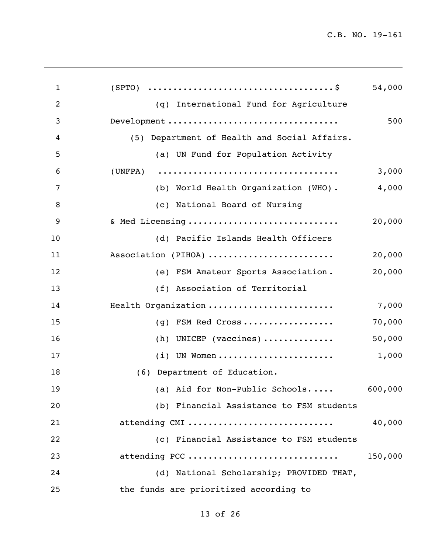| 1  |                                              | 54,000  |
|----|----------------------------------------------|---------|
| 2  | (q) International Fund for Agriculture       |         |
| 3  | Development                                  | 500     |
| 4  | (5) Department of Health and Social Affairs. |         |
| 5  | (a) UN Fund for Population Activity          |         |
| 6  | (UNFPA)                                      | 3,000   |
| 7  | (b) World Health Organization (WHO).         | 4,000   |
| 8  | (c) National Board of Nursing                |         |
| 9  | & Med Licensing                              | 20,000  |
| 10 | (d) Pacific Islands Health Officers          |         |
| 11 | Association (PIHOA)                          | 20,000  |
| 12 | (e) FSM Amateur Sports Association.          | 20,000  |
| 13 | (f) Association of Territorial               |         |
| 14 | Health Organization                          | 7,000   |
| 15 | (g) FSM Red Cross                            | 70,000  |
| 16 | (h) UNICEP (vaccines)                        | 50,000  |
| 17 | $(i)$ UN Women                               | 1,000   |
| 18 | (6) Department of Education.                 |         |
| 19 | (a) Aid for Non-Public Schools               | 600,000 |
| 20 | (b) Financial Assistance to FSM students     |         |
| 21 | attending CMI                                | 40,000  |
| 22 | (c) Financial Assistance to FSM students     |         |
| 23 | attending PCC                                | 150,000 |
| 24 | (d) National Scholarship; PROVIDED THAT,     |         |
| 25 | the funds are prioritized according to       |         |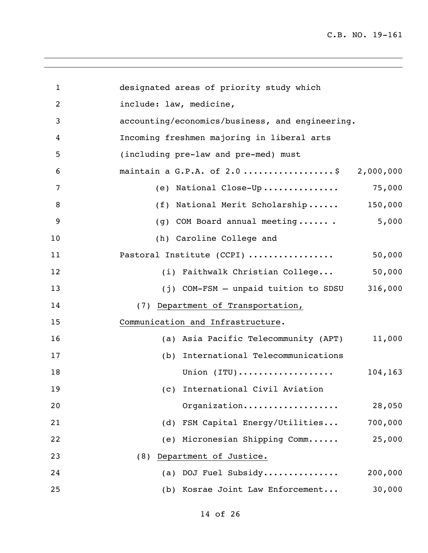| $\mathbf{1}$ | designated areas of priority study which        |
|--------------|-------------------------------------------------|
| 2            | include: law, medicine,                         |
| 3            | accounting/economics/business, and engineering. |
| 4            | Incoming freshmen majoring in liberal arts      |
| 5            | (including pre-law and pre-med) must            |
| 6            | maintain a G.P.A. of 2.0 \$<br>2,000,000        |
| 7            | 75,000<br>(e) National Close-Up                 |
| 8            | (f) National Merit Scholarship<br>150,000       |
| 9            | 5,000<br>(g) COM Board annual meeting           |
| 10           | (h) Caroline College and                        |
| 11           | Pastoral Institute (CCPI)<br>50,000             |
| 12           | 50,000<br>(i) Faithwalk Christian College       |
| 13           | 316,000<br>(j) COM-FSM - unpaid tuition to SDSU |
| 14           | (7) Department of Transportation,               |
| 15           | Communication and Infrastructure.               |
| 16           | (a) Asia Pacific Telecommunity (APT)<br>11,000  |
| 17           | International Telecommunications<br>(b)         |
| 18           | Union $(ITU)$<br>104,163                        |
| 19           | (c) International Civil Aviation                |
| 20           | Organization<br>28,050                          |
| 21           | FSM Capital Energy/Utilities<br>700,000<br>(d)  |
| 22           | (e) Micronesian Shipping Comm<br>25,000         |
| 23           | Department of Justice.<br>(8)                   |
| 24           | (a) DOJ Fuel Subsidy<br>200,000                 |
| 25           | (b) Kosrae Joint Law Enforcement<br>30,000      |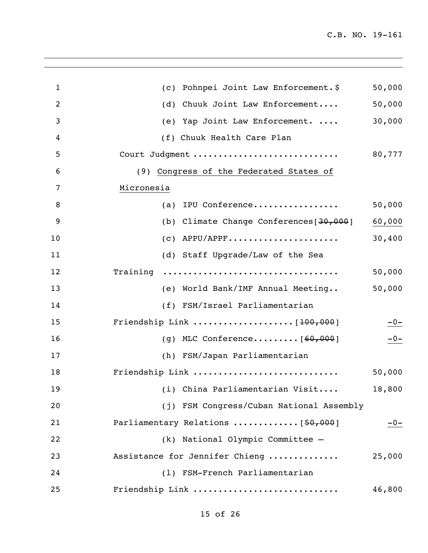| $\mathbf{1}$   | (c) Pohnpei Joint Law Enforcement.\$      | 50,000 |
|----------------|-------------------------------------------|--------|
| $\overline{2}$ | (d) Chuuk Joint Law Enforcement           | 50,000 |
| 3              | (e) Yap Joint Law Enforcement.            | 30,000 |
| 4              | (f) Chuuk Health Care Plan                |        |
| 5              | Court Judgment                            | 80,777 |
| 6              | (9) Congress of the Federated States of   |        |
| 7              | Micronesia                                |        |
| 8              | (a) IPU Conference                        | 50,000 |
| 9              | (b) Climate Change Conferences $[30,000]$ | 60,000 |
| 10             | $(c)$ APPU/APPF                           | 30,400 |
| 11             | (d) Staff Upgrade/Law of the Sea          |        |
| 12             | Training                                  | 50,000 |
| 13             | (e) World Bank/IMF Annual Meeting         | 50,000 |
| 14             | (f) FSM/Israel Parliamentarian            |        |
| 15             |                                           | $-0-$  |
| 16             | (g) MLC Conference $[60, 000]$            | $-0-$  |
| 17             | (h) FSM/Japan Parliamentarian             |        |
| 18             | Friendship Link                           | 50,000 |
| 19             | (i) China Parliamentarian Visit           | 18,800 |
| 20             | (j) FSM Congress/Cuban National Assembly  |        |
| 21             | Parliamentary Relations  [50,000]         | $-0-$  |
| 22             | (k) National Olympic Committee -          |        |
| 23             | Assistance for Jennifer Chieng            | 25,000 |
| 24             | (1) FSM-French Parliamentarian            |        |
| 25             | Friendship Link                           | 46,800 |
|                |                                           |        |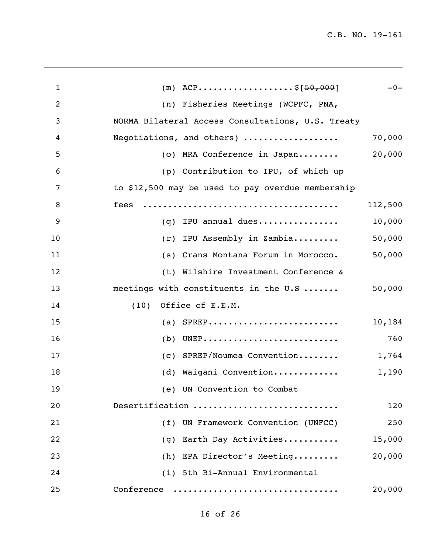| $\mathbf{1}$   | (m) ACP\$[ $\frac{50,000}{1}$ ]                   | $-0-$   |
|----------------|---------------------------------------------------|---------|
| $\overline{2}$ | (n) Fisheries Meetings (WCPFC, PNA,               |         |
| 3              | NORMA Bilateral Access Consultations, U.S. Treaty |         |
| 4              | Negotiations, and others)                         | 70,000  |
| 5              | (o) MRA Conference in Japan                       | 20,000  |
| 6              | (p) Contribution to IPU, of which up              |         |
| 7              | to \$12,500 may be used to pay overdue membership |         |
| 8              | fees                                              | 112,500 |
| 9              | $(q)$ IPU annual dues                             | 10,000  |
| 10             | IPU Assembly in Zambia<br>(r)                     | 50,000  |
| 11             | (s) Crans Montana Forum in Morocco.               | 50,000  |
| 12             | (t) Wilshire Investment Conference &              |         |
| 13             | meetings with constituents in the U.S             | 50,000  |
| 14             | (10)<br>Office of E.E.M.                          |         |
| 15             | (a) SPREP                                         | 10,184  |
| 16             | $(b)$ UNEP                                        | 760     |
| 17             | (c) SPREP/Noumea Convention                       | 1,764   |
| 18             | (d) Waigani Convention                            | 1,190   |
| 19             | (e) UN Convention to Combat                       |         |
| 20             | Desertification                                   | 120     |
| 21             | (f) UN Framework Convention (UNFCC)               | 250     |
| 22             | Earth Day Activities<br>(g)                       | 15,000  |
| 23             | (h) EPA Director's Meeting                        | 20,000  |
| 24             | (i) 5th Bi-Annual Environmental                   |         |
| 25             | Conference                                        | 20,000  |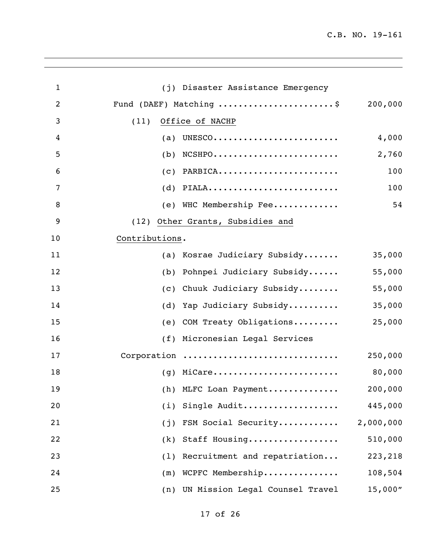| $\mathbf{1}$   | (j) Disaster Assistance Emergency      |           |
|----------------|----------------------------------------|-----------|
| $\overline{2}$ | Fund (DAEF) Matching \$                | 200,000   |
| 3              | Office of NACHP<br>(11)                |           |
| 4              | UNESCO<br>(a)                          | 4,000     |
| 5              | $NCSHP0$<br>(b)                        | 2,760     |
| 6              | $(c)$ PARBICA                          | 100       |
| 7              | $(d)$ PIALA                            | 100       |
| 8              | (e) WHC Membership Fee                 | 54        |
| 9              | (12) Other Grants, Subsidies and       |           |
| 10             | Contributions.                         |           |
| 11             | (a) Kosrae Judiciary Subsidy           | 35,000    |
| 12             | (b) Pohnpei Judiciary Subsidy          | 55,000    |
| 13             | (c) Chuuk Judiciary Subsidy            | 55,000    |
| 14             | (d) Yap Judiciary Subsidy              | 35,000    |
| 15             | (e) COM Treaty Obligations             | 25,000    |
| 16             | (f) Micronesian Legal Services         |           |
| 17             | Corporation                            | 250,000   |
| 18             | $(g)$ MiCare                           | 80,000    |
| 19             | (h) MLFC Loan Payment                  | 200,000   |
| 20             | (i) Single Audit                       | 445,000   |
| 21             | FSM Social Security<br>(j)             | 2,000,000 |
| 22             | (k) Staff Housing                      | 510,000   |
| 23             | Recruitment and repatriation<br>(1)    | 223,218   |
| 24             | (m) WCPFC Membership                   | 108,504   |
| 25             | UN Mission Legal Counsel Travel<br>(n) | 15,000''  |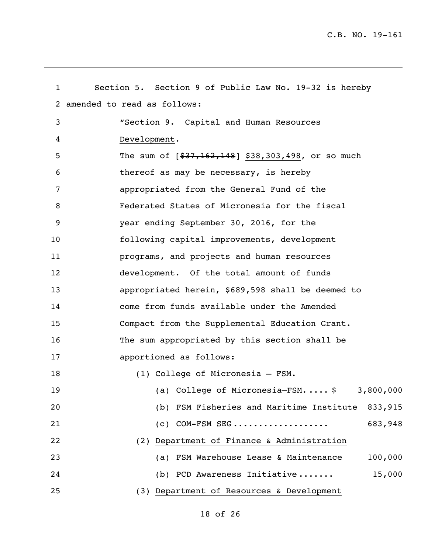| $\mathbf{1}$      | Section 5. Section 9 of Public Law No. 19-32 is hereby |
|-------------------|--------------------------------------------------------|
|                   | 2 amended to read as follows:                          |
| 3                 | "Section 9. Capital and Human Resources                |
| 4                 | Development.                                           |
| 5                 | The sum of $[$37,162,148]$ \$38,303,498, or so much    |
| 6                 | thereof as may be necessary, is hereby                 |
| 7                 | appropriated from the General Fund of the              |
| 8                 | Federated States of Micronesia for the fiscal          |
| 9                 | year ending September 30, 2016, for the                |
| 10                | following capital improvements, development            |
| 11                | programs, and projects and human resources             |
| $12 \overline{ }$ | development. Of the total amount of funds              |
| 13                | appropriated herein, \$689,598 shall be deemed to      |
| 14                | come from funds available under the Amended            |
| 15                | Compact from the Supplemental Education Grant.         |
| 16                | The sum appropriated by this section shall be          |
| 17                | apportioned as follows:                                |
| 18                | (1) College of Micronesia - FSM.                       |
| 19                | (a) College of Micronesia-FSM \$<br>3,800,000          |
| 20                | (b) FSM Fisheries and Maritime Institute 833,915       |
| 21                | 683,948<br>$(c)$ COM-FSM SEG                           |
| 22                | (2) Department of Finance & Administration             |
| 23                | FSM Warehouse Lease & Maintenance<br>100,000<br>(a)    |
| 24                | 15,000<br>(b) PCD Awareness Initiative                 |
| 25                | (3) Department of Resources & Development              |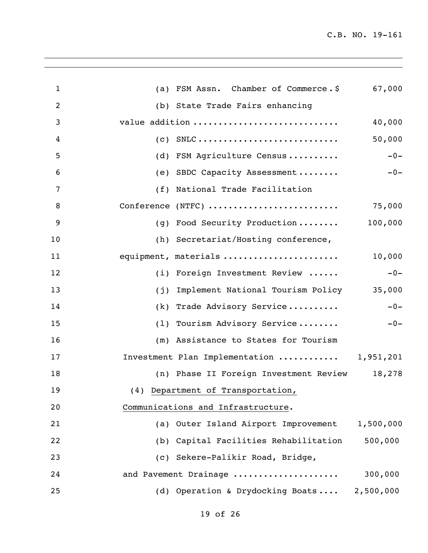| $\mathbf{1}$ | (a) FSM Assn. Chamber of Commerce.\$      | 67,000    |
|--------------|-------------------------------------------|-----------|
| 2            | (b) State Trade Fairs enhancing           |           |
| 3            | value addition                            | 40,000    |
| 4            |                                           | 50,000    |
| 5            | FSM Agriculture Census<br>(d)             | $-0-$     |
| 6            | (e) SBDC Capacity Assessment              | $-0-$     |
| 7            | (f) National Trade Facilitation           |           |
| 8            | Conference (NTFC)                         | 75,000    |
| 9            | (g) Food Security Production 100,000      |           |
| 10           | (h) Secretariat/Hosting conference,       |           |
| 11           | equipment, materials                      | 10,000    |
| 12           | (i) Foreign Investment Review             | $-0-$     |
| 13           | Implement National Tourism Policy<br>(j)  | 35,000    |
| 14           | Trade Advisory Service<br>(k)             | $-0-$     |
| 15           | (1) Tourism Advisory Service              | $-0-$     |
| 16           | (m) Assistance to States for Tourism      |           |
| 17           | Investment Plan Implementation  1,951,201 |           |
| 18           | (n) Phase II Foreign Investment Review    | 18,278    |
| 19           | (4) Department of Transportation,         |           |
| 20           | Communications and Infrastructure.        |           |
| 21           | (a) Outer Island Airport Improvement      | 1,500,000 |
| 22           | (b) Capital Facilities Rehabilitation     | 500,000   |
| 23           | (c) Sekere-Palikir Road, Bridge,          |           |
| 24           | and Pavement Drainage                     | 300,000   |
| 25           | (d) Operation & Drydocking Boats          | 2,500,000 |
|              |                                           |           |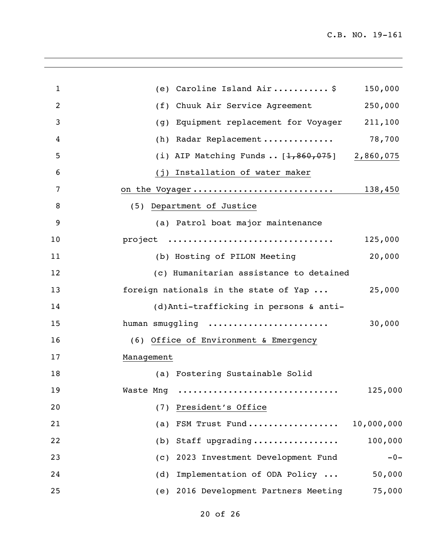| $\mathbf{1}$   | (e) Caroline Island $Air$ \$                   | 150,000    |
|----------------|------------------------------------------------|------------|
| $\overline{2}$ | (f) Chuuk Air Service Agreement                | 250,000    |
| 3              | Equipment replacement for Voyager<br>(g)       | 211,100    |
| 4              | Radar Replacement<br>(h)                       | 78,700     |
| 5              | (i) AIP Matching Funds $[1,860,075]$ 2,860,075 |            |
| 6              | (j) Installation of water maker                |            |
| 7              | on the Voyager 138,450                         |            |
| 8              | (5) Department of Justice                      |            |
| 9              | (a) Patrol boat major maintenance              |            |
| 10             | project                                        | 125,000    |
| 11             | (b) Hosting of PILON Meeting                   | 20,000     |
| 12             | (c) Humanitarian assistance to detained        |            |
| 13             | foreign nationals in the state of Yap          | 25,000     |
| 14             | (d)Anti-trafficking in persons & anti-         |            |
| 15             | human smuggling                                | 30,000     |
| 16             | (6) Office of Environment & Emergency          |            |
| 17             | Management                                     |            |
| 18             | (a) Fostering Sustainable Solid                |            |
| 19             | Waste Mng                                      | 125,000    |
| 20             | President's Office<br>(7)                      |            |
| 21             | FSM Trust Fund<br>(a)                          | 10,000,000 |
| 22             | Staff upgrading<br>(b)                         | 100,000    |
| 23             | 2023 Investment Development Fund<br>(C)        | $-0-$      |
| 24             | Implementation of ODA Policy<br>(d)            | 50,000     |
| 25             | (e) 2016 Development Partners Meeting          | 75,000     |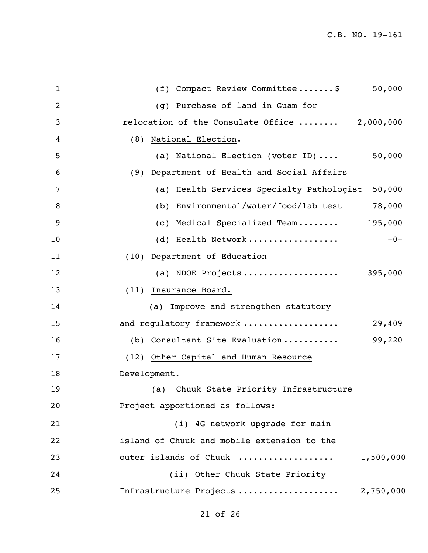| $\mathbf{1}$   | (f) Compact Review Committee\$<br>50,000               |
|----------------|--------------------------------------------------------|
| $\overline{2}$ | Purchase of land in Guam for<br>(q)                    |
| 3              | relocation of the Consulate Office  2,000,000          |
| 4              | National Election.<br>(8)                              |
| 5              | (a) National Election (voter ID)<br>50,000             |
| 6              | Department of Health and Social Affairs<br>(9)         |
| 7              | Health Services Specialty Pathologist<br>50,000<br>(a) |
| 8              | Environmental/water/food/lab test<br>78,000<br>(b)     |
| 9              | 195,000<br>Medical Specialized Team<br>(C)             |
| 10             | (d) Health Network<br>$-0-$                            |
| 11             | (10) Department of Education                           |
| 12             | (a) NDOE Projects<br>395,000                           |
| 13             | (11) Insurance Board.                                  |
| 14             | (a) Improve and strengthen statutory                   |
| 15             | and regulatory framework<br>29,409                     |
| 16             | 99,220<br>(b) Consultant Site Evaluation               |
| 17             | (12) Other Capital and Human Resource                  |
| 18             | Development.                                           |
| 19             | (a) Chuuk State Priority Infrastructure                |
| 20             | Project apportioned as follows:                        |
| 21             | (i) 4G network upgrade for main                        |
| 22             | island of Chuuk and mobile extension to the            |
| 23             | outer islands of Chuuk<br>1,500,000                    |
| 24             | (ii) Other Chuuk State Priority                        |
| 25             | Infrastructure Projects<br>2,750,000                   |
|                |                                                        |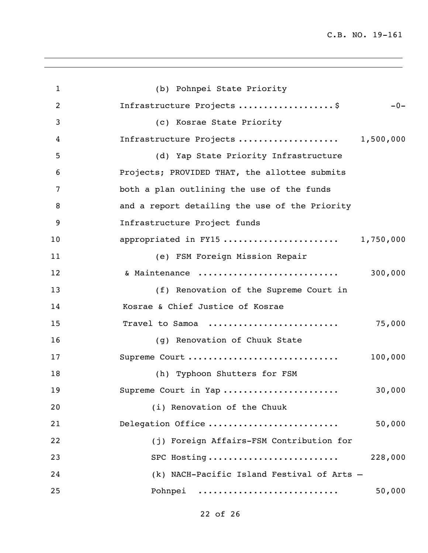| $\mathbf{1}$<br>(b) Pohnpei State Priority<br>Infrastructure Projects \$<br>2<br>3<br>(c) Kosrae State Priority<br>Infrastructure Projects  1,500,000<br>4<br>5<br>(d) Yap State Priority Infrastructure<br>Projects; PROVIDED THAT, the allottee submits<br>6<br>7<br>both a plan outlining the use of the funds<br>8<br>and a report detailing the use of the Priority<br>9<br>Infrastructure Project funds<br>appropriated in FY15<br>10<br>11<br>(e) FSM Foreign Mission Repair<br>12<br>& Maintenance<br>13<br>(f) Renovation of the Supreme Court in<br>Kosrae & Chief Justice of Kosrae<br>14<br>15<br>Travel to Samoa<br>16<br>(g) Renovation of Chuuk State<br>Supreme Court<br>17<br>(h) Typhoon Shutters for FSM<br>18<br>19<br>Supreme Court in Yap<br>(i) Renovation of the Chuuk<br>20<br>Delegation Office<br>21<br>(j) Foreign Affairs-FSM Contribution for<br>22<br>23<br>SPC Hosting<br>(k) NACH-Pacific Island Festival of Arts -<br>24<br>25<br>Pohnpei |           |
|-----------------------------------------------------------------------------------------------------------------------------------------------------------------------------------------------------------------------------------------------------------------------------------------------------------------------------------------------------------------------------------------------------------------------------------------------------------------------------------------------------------------------------------------------------------------------------------------------------------------------------------------------------------------------------------------------------------------------------------------------------------------------------------------------------------------------------------------------------------------------------------------------------------------------------------------------------------------------------|-----------|
|                                                                                                                                                                                                                                                                                                                                                                                                                                                                                                                                                                                                                                                                                                                                                                                                                                                                                                                                                                             |           |
|                                                                                                                                                                                                                                                                                                                                                                                                                                                                                                                                                                                                                                                                                                                                                                                                                                                                                                                                                                             | $-0-$     |
|                                                                                                                                                                                                                                                                                                                                                                                                                                                                                                                                                                                                                                                                                                                                                                                                                                                                                                                                                                             |           |
|                                                                                                                                                                                                                                                                                                                                                                                                                                                                                                                                                                                                                                                                                                                                                                                                                                                                                                                                                                             |           |
|                                                                                                                                                                                                                                                                                                                                                                                                                                                                                                                                                                                                                                                                                                                                                                                                                                                                                                                                                                             |           |
|                                                                                                                                                                                                                                                                                                                                                                                                                                                                                                                                                                                                                                                                                                                                                                                                                                                                                                                                                                             |           |
|                                                                                                                                                                                                                                                                                                                                                                                                                                                                                                                                                                                                                                                                                                                                                                                                                                                                                                                                                                             |           |
|                                                                                                                                                                                                                                                                                                                                                                                                                                                                                                                                                                                                                                                                                                                                                                                                                                                                                                                                                                             |           |
|                                                                                                                                                                                                                                                                                                                                                                                                                                                                                                                                                                                                                                                                                                                                                                                                                                                                                                                                                                             |           |
|                                                                                                                                                                                                                                                                                                                                                                                                                                                                                                                                                                                                                                                                                                                                                                                                                                                                                                                                                                             | 1,750,000 |
|                                                                                                                                                                                                                                                                                                                                                                                                                                                                                                                                                                                                                                                                                                                                                                                                                                                                                                                                                                             |           |
|                                                                                                                                                                                                                                                                                                                                                                                                                                                                                                                                                                                                                                                                                                                                                                                                                                                                                                                                                                             | 300,000   |
|                                                                                                                                                                                                                                                                                                                                                                                                                                                                                                                                                                                                                                                                                                                                                                                                                                                                                                                                                                             |           |
|                                                                                                                                                                                                                                                                                                                                                                                                                                                                                                                                                                                                                                                                                                                                                                                                                                                                                                                                                                             |           |
|                                                                                                                                                                                                                                                                                                                                                                                                                                                                                                                                                                                                                                                                                                                                                                                                                                                                                                                                                                             | 75,000    |
|                                                                                                                                                                                                                                                                                                                                                                                                                                                                                                                                                                                                                                                                                                                                                                                                                                                                                                                                                                             |           |
|                                                                                                                                                                                                                                                                                                                                                                                                                                                                                                                                                                                                                                                                                                                                                                                                                                                                                                                                                                             | 100,000   |
|                                                                                                                                                                                                                                                                                                                                                                                                                                                                                                                                                                                                                                                                                                                                                                                                                                                                                                                                                                             |           |
|                                                                                                                                                                                                                                                                                                                                                                                                                                                                                                                                                                                                                                                                                                                                                                                                                                                                                                                                                                             | 30,000    |
|                                                                                                                                                                                                                                                                                                                                                                                                                                                                                                                                                                                                                                                                                                                                                                                                                                                                                                                                                                             |           |
|                                                                                                                                                                                                                                                                                                                                                                                                                                                                                                                                                                                                                                                                                                                                                                                                                                                                                                                                                                             | 50,000    |
|                                                                                                                                                                                                                                                                                                                                                                                                                                                                                                                                                                                                                                                                                                                                                                                                                                                                                                                                                                             |           |
|                                                                                                                                                                                                                                                                                                                                                                                                                                                                                                                                                                                                                                                                                                                                                                                                                                                                                                                                                                             | 228,000   |
|                                                                                                                                                                                                                                                                                                                                                                                                                                                                                                                                                                                                                                                                                                                                                                                                                                                                                                                                                                             |           |
|                                                                                                                                                                                                                                                                                                                                                                                                                                                                                                                                                                                                                                                                                                                                                                                                                                                                                                                                                                             | 50,000    |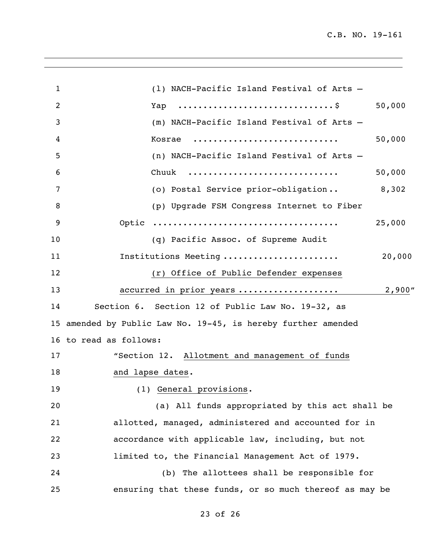(l) NACH-Pacific Island Festival of Arts – Yap ...............................\$ 50,000 (m) NACH-Pacific Island Festival of Arts – Kosrae ............................. 50,000 (n) NACH-Pacific Island Festival of Arts – Chuuk .............................. 50,000 (o) Postal Service prior-obligation .. 8,302 (p) Upgrade FSM Congress Internet to Fiber Optic ..................................... 25,000 (q) Pacific Assoc. of Supreme Audit Institutions Meeting ....................... 20,000 (r) Office of Public Defender expenses accurred in prior years .................... 2,900" Section 6. Section 12 of Public Law No. 19-32, as amended by Public Law No. 19-45, is hereby further amended to read as follows: "Section 12. Allotment and management of funds 18 and lapse dates. (1) General provisions. (a) All funds appropriated by this act shall be allotted, managed, administered and accounted for in accordance with applicable law, including, but not limited to, the Financial Management Act of 1979. (b) The allottees shall be responsible for ensuring that these funds, or so much thereof as may be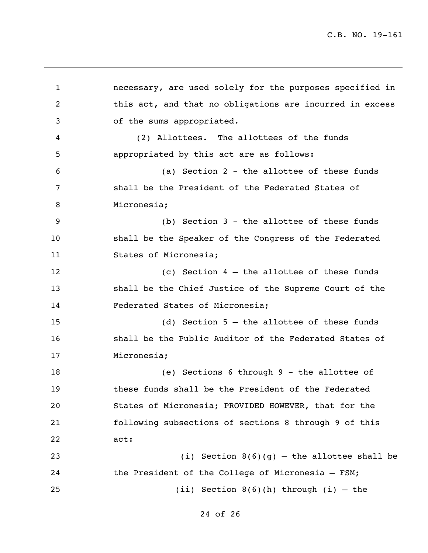necessary, are used solely for the purposes specified in this act, and that no obligations are incurred in excess of the sums appropriated. (2) Allottees. The allottees of the funds appropriated by this act are as follows: (a) Section 2 - the allottee of these funds shall be the President of the Federated States of Micronesia; (b) Section 3 - the allottee of these funds shall be the Speaker of the Congress of the Federated States of Micronesia; (c) Section 4 – the allottee of these funds shall be the Chief Justice of the Supreme Court of the Federated States of Micronesia; (d) Section 5 – the allottee of these funds shall be the Public Auditor of the Federated States of Micronesia; (e) Sections 6 through 9 - the allottee of these funds shall be the President of the Federated States of Micronesia; PROVIDED HOWEVER, that for the following subsections of sections 8 through 9 of this act: (i) Section 8(6)(g) – the allottee shall be the President of the College of Micronesia – FSM; 25 (ii) Section  $8(6)(h)$  through (i) – the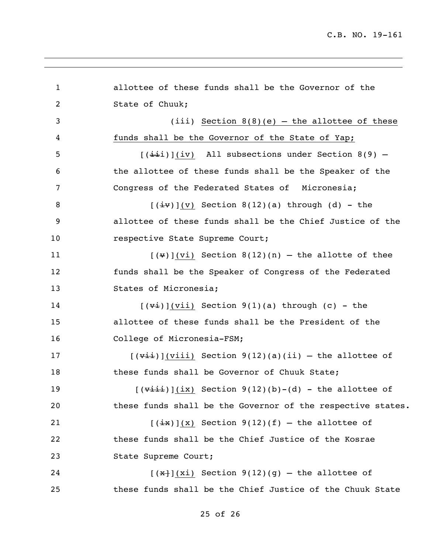allottee of these funds shall be the Governor of the State of Chuuk; (iii) Section 8(8)(e) – the allottee of these funds shall be the Governor of the State of Yap;  $[(\pm i)](iv)$  All subsections under Section 8(9) – the allottee of these funds shall be the Speaker of the Congress of the Federated States of Micronesia;  $[(i\text{iv})](v)$  Section 8(12)(a) through (d) - the allottee of these funds shall be the Chief Justice of the 10 respective State Supreme Court;  $[(\frac{\psi}{\psi})(\text{vi})$  Section 8(12)(n) – the allotte of thee funds shall be the Speaker of Congress of the Federated States of Micronesia;  $[(\frac{v_i}{\sqrt{1}})](\text{vii})$  Section 9(1)(a) through (c) - the allottee of these funds shall be the President of the College of Micronesia-FSM;  $[(\forall i \neq j) \cup (j \neq j \neq k)]$  (viii) Section 9(12)(a)(ii) – the allottee of **these funds shall be Governor of Chuuk State;**  $[(\overrightarrow{viii})](ix)$  Section  $9(12)(b)-(d)$  - the allottee of these funds shall be the Governor of the respective states.  $[(\frac{1}{2}x)](x)$  Section 9(12)(f) – the allottee of these funds shall be the Chief Justice of the Kosrae State Supreme Court;  $[(**x**+)(**x**)] (x) Section 9(12)(q) - the allotte of$ these funds shall be the Chief Justice of the Chuuk State